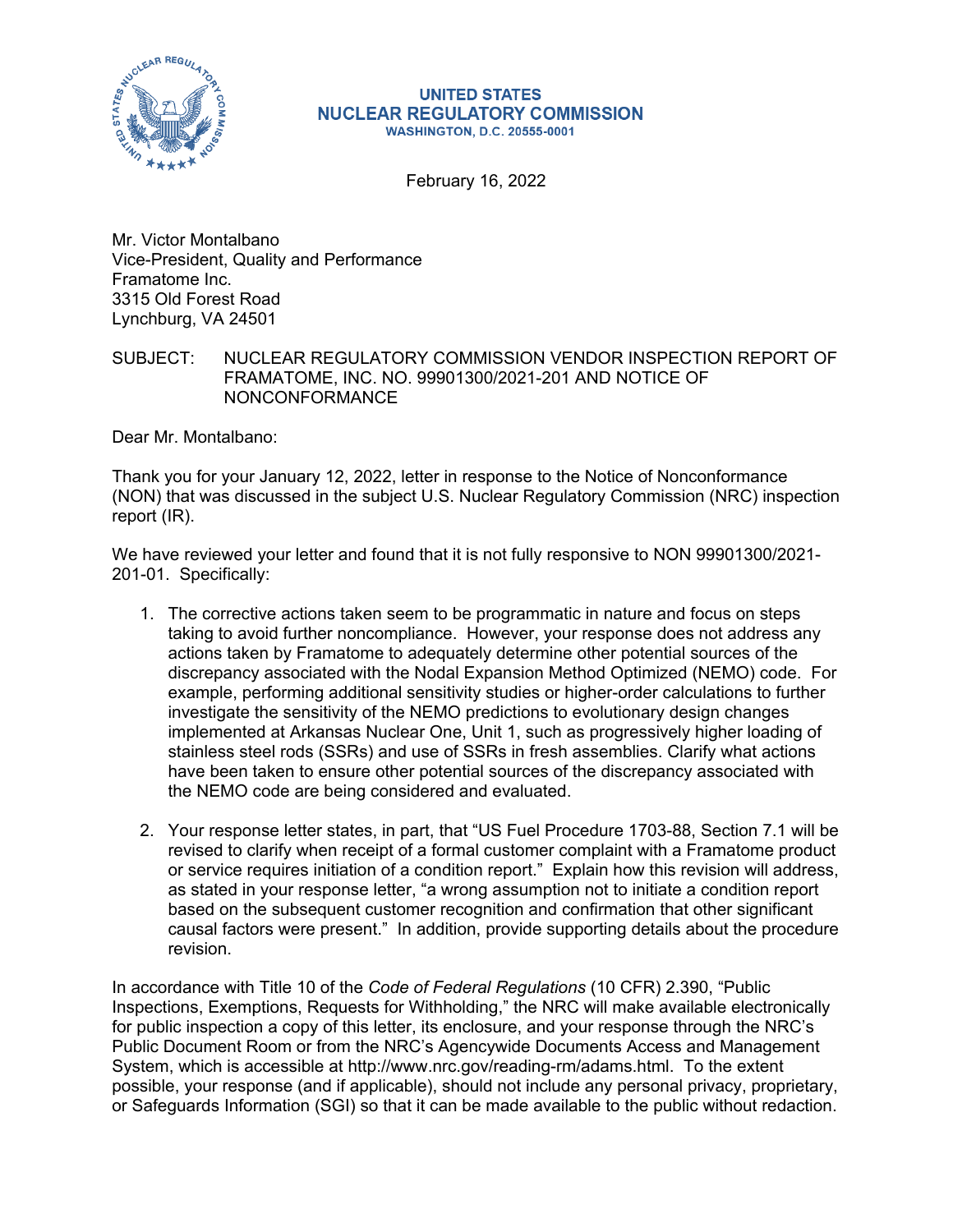

## **UNITED STATES NUCLEAR REGULATORY COMMISSION WASHINGTON, D.C. 20555-0001**

February 16, 2022

Mr. Victor Montalbano Vice-President, Quality and Performance Framatome Inc. 3315 Old Forest Road Lynchburg, VA 24501

## SUBJECT: NUCLEAR REGULATORY COMMISSION VENDOR INSPECTION REPORT OF FRAMATOME, INC. NO. 99901300/2021-201 AND NOTICE OF NONCONFORMANCE

Dear Mr. Montalbano:

Thank you for your January 12, 2022, letter in response to the Notice of Nonconformance (NON) that was discussed in the subject U.S. Nuclear Regulatory Commission (NRC) inspection report (IR).

We have reviewed your letter and found that it is not fully responsive to NON 99901300/2021- 201-01. Specifically:

- 1. The corrective actions taken seem to be programmatic in nature and focus on steps taking to avoid further noncompliance. However, your response does not address any actions taken by Framatome to adequately determine other potential sources of the discrepancy associated with the Nodal Expansion Method Optimized (NEMO) code. For example, performing additional sensitivity studies or higher-order calculations to further investigate the sensitivity of the NEMO predictions to evolutionary design changes implemented at Arkansas Nuclear One, Unit 1, such as progressively higher loading of stainless steel rods (SSRs) and use of SSRs in fresh assemblies. Clarify what actions have been taken to ensure other potential sources of the discrepancy associated with the NEMO code are being considered and evaluated.
- 2. Your response letter states, in part, that "US Fuel Procedure 1703-88, Section 7.1 will be revised to clarify when receipt of a formal customer complaint with a Framatome product or service requires initiation of a condition report." Explain how this revision will address, as stated in your response letter, "a wrong assumption not to initiate a condition report based on the subsequent customer recognition and confirmation that other significant causal factors were present." In addition, provide supporting details about the procedure revision.

In accordance with Title 10 of the *Code of Federal Regulations* (10 CFR) 2.390, "Public Inspections, Exemptions, Requests for Withholding," the NRC will make available electronically for public inspection a copy of this letter, its enclosure, and your response through the NRC's Public Document Room or from the NRC's Agencywide Documents Access and Management System, which is accessible at http://www.nrc.gov/reading-rm/adams.html. To the extent possible, your response (and if applicable), should not include any personal privacy, proprietary, or Safeguards Information (SGI) so that it can be made available to the public without redaction.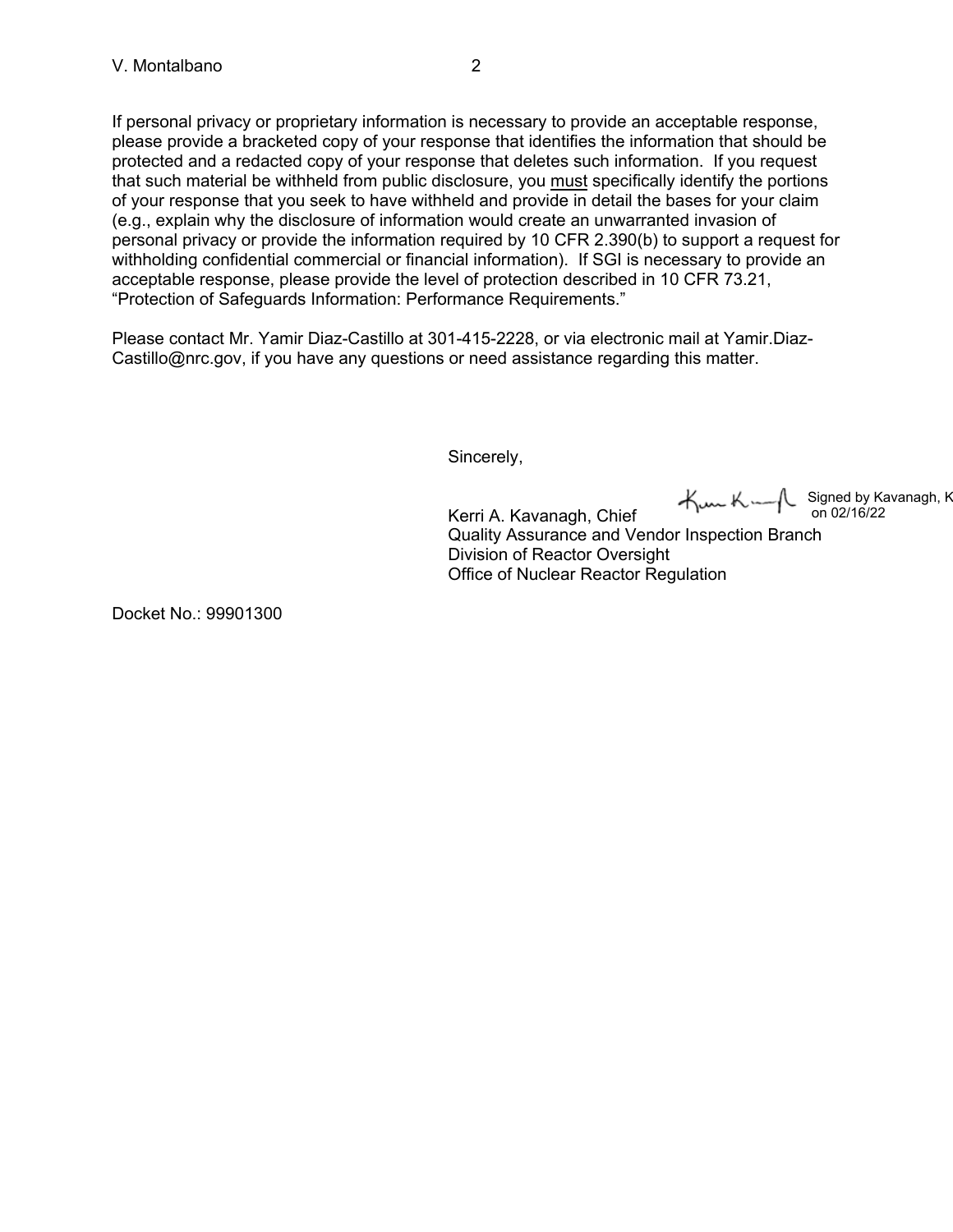If personal privacy or proprietary information is necessary to provide an acceptable response, please provide a bracketed copy of your response that identifies the information that should be protected and a redacted copy of your response that deletes such information. If you request that such material be withheld from public disclosure, you must specifically identify the portions of your response that you seek to have withheld and provide in detail the bases for your claim (e.g., explain why the disclosure of information would create an unwarranted invasion of personal privacy or provide the information required by 10 CFR 2.390(b) to support a request for withholding confidential commercial or financial information). If SGI is necessary to provide an acceptable response, please provide the level of protection described in 10 CFR 73.21, "Protection of Safeguards Information: Performance Requirements."

Please contact Mr. Yamir Diaz-Castillo at 301-415-2228, or via electronic mail at Yamir.Diaz-Castillo@nrc.gov, if you have any questions or need assistance regarding this matter.

Sincerely,

Signed by Kavanagh, K on 02/16/22

Kerri A. Kavanagh, Chief Quality Assurance and Vendor Inspection Branch Division of Reactor Oversight Office of Nuclear Reactor Regulation

Docket No.: 99901300